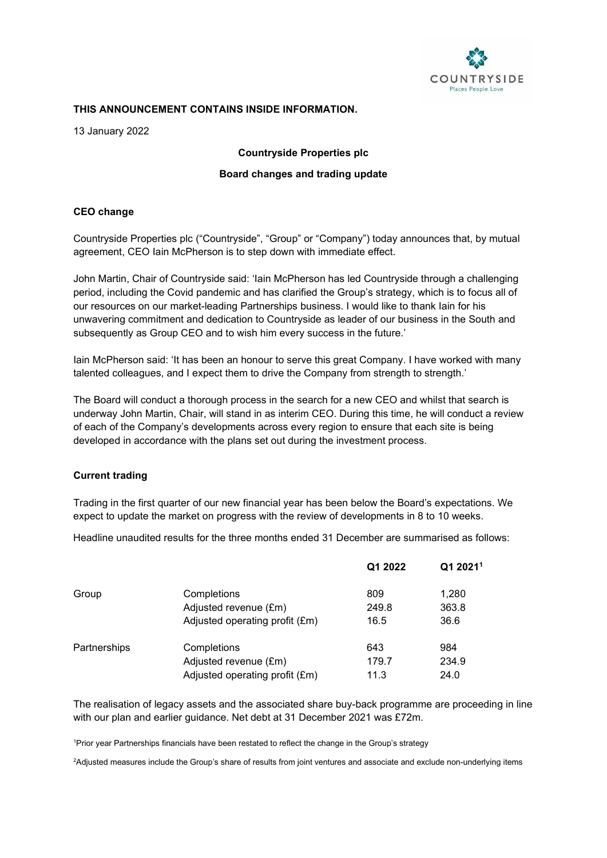

#### **THIS ANNOUNCEMENT CONTAINS INSIDE INFORMATION.**

13 January 2022

**Countryside Properties plc**

### **Board changes and trading update**

# **CEO change**

Countryside Properties plc ("Countryside", "Group" or "Company") today announces that, by mutual agreement, CEO Iain McPherson is to step down with immediate effect.

John Martin, Chair of Countryside said: 'Iain McPherson has led Countryside through a challenging period, including the Covid pandemic and has clarified the Group's strategy, which is to focus all of our resources on our market-leading Partnerships business. I would like to thank Iain for his unwavering commitment and dedication to Countryside as leader of our business in the South and subsequently as Group CEO and to wish him every success in the future.'

Iain McPherson said: 'It has been an honour to serve this great Company. I have worked with many talented colleagues, and I expect them to drive the Company from strength to strength.'

The Board will conduct a thorough process in the search for a new CEO and whilst that search is underway John Martin, Chair, will stand in as interim CEO. During this time, he will conduct a review of each of the Company's developments across every region to ensure that each site is being developed in accordance with the plans set out during the investment process.

# **Current trading**

Trading in the first quarter of our new financial year has been below the Board's expectations. We expect to update the market on progress with the review of developments in 8 to 10 weeks.

Headline unaudited results for the three months ended 31 December are summarised as follows:

|              |                                | Q1 2022 | Q1 2021 <sup>1</sup> |
|--------------|--------------------------------|---------|----------------------|
| Group        | Completions                    | 809     | 1,280                |
|              | Adjusted revenue (£m)          | 249.8   | 363.8                |
|              | Adjusted operating profit (£m) | 16.5    | 36.6                 |
| Partnerships | Completions                    | 643     | 984                  |
|              | Adjusted revenue (£m)          | 179.7   | 234.9                |
|              | Adjusted operating profit (£m) | 11.3    | 24.0                 |

The realisation of legacy assets and the associated share buy-back programme are proceeding in line with our plan and earlier guidance. Net debt at 31 December 2021 was £72m.

1 Prior year Partnerships financials have been restated to reflect the change in the Group's strategy

2 Adjusted measures include the Group's share of results from joint ventures and associate and exclude non-underlying items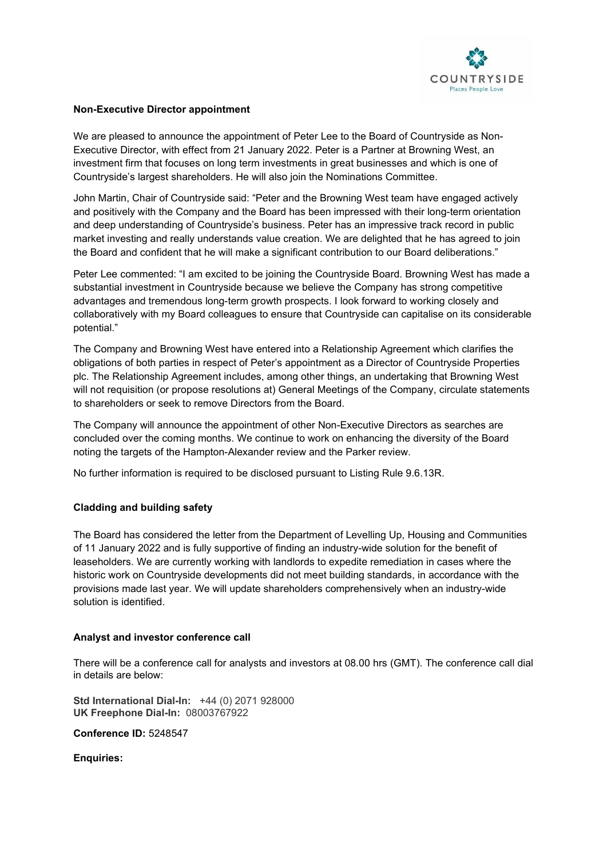

### **Non-Executive Director appointment**

We are pleased to announce the appointment of Peter Lee to the Board of Countryside as Non-Executive Director, with effect from 21 January 2022. Peter is a Partner at Browning West, an investment firm that focuses on long term investments in great businesses and which is one of Countryside's largest shareholders. He will also join the Nominations Committee.

John Martin, Chair of Countryside said: "Peter and the Browning West team have engaged actively and positively with the Company and the Board has been impressed with their long-term orientation and deep understanding of Countryside's business. Peter has an impressive track record in public market investing and really understands value creation. We are delighted that he has agreed to join the Board and confident that he will make a significant contribution to our Board deliberations."

Peter Lee commented: "I am excited to be joining the Countryside Board. Browning West has made a substantial investment in Countryside because we believe the Company has strong competitive advantages and tremendous long-term growth prospects. I look forward to working closely and collaboratively with my Board colleagues to ensure that Countryside can capitalise on its considerable potential."

The Company and Browning West have entered into a Relationship Agreement which clarifies the obligations of both parties in respect of Peter's appointment as a Director of Countryside Properties plc. The Relationship Agreement includes, among other things, an undertaking that Browning West will not requisition (or propose resolutions at) General Meetings of the Company, circulate statements to shareholders or seek to remove Directors from the Board.

The Company will announce the appointment of other Non-Executive Directors as searches are concluded over the coming months. We continue to work on enhancing the diversity of the Board noting the targets of the Hampton-Alexander review and the Parker review.

No further information is required to be disclosed pursuant to Listing Rule 9.6.13R.

# **Cladding and building safety**

The Board has considered the letter from the Department of Levelling Up, Housing and Communities of 11 January 2022 and is fully supportive of finding an industry-wide solution for the benefit of leaseholders. We are currently working with landlords to expedite remediation in cases where the historic work on Countryside developments did not meet building standards, in accordance with the provisions made last year. We will update shareholders comprehensively when an industry-wide solution is identified.

#### **Analyst and investor conference call**

There will be a conference call for analysts and investors at 08.00 hrs (GMT). The conference call dial in details are below:

**Std International Dial-In:** +44 (0) 2071 928000 **UK Freephone Dial-In:** 08003767922

**Conference ID:** 5248547

**Enquiries:**